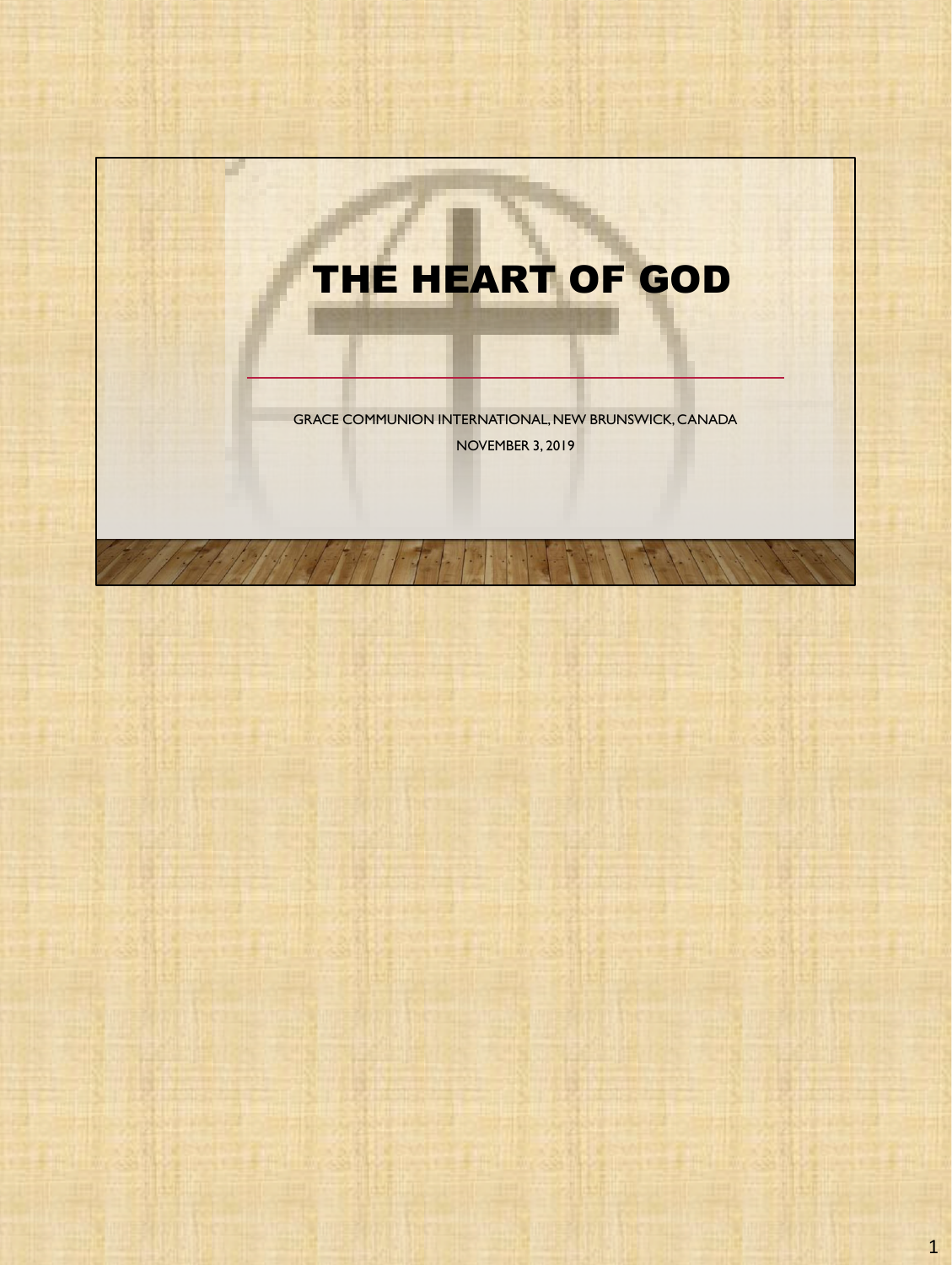



1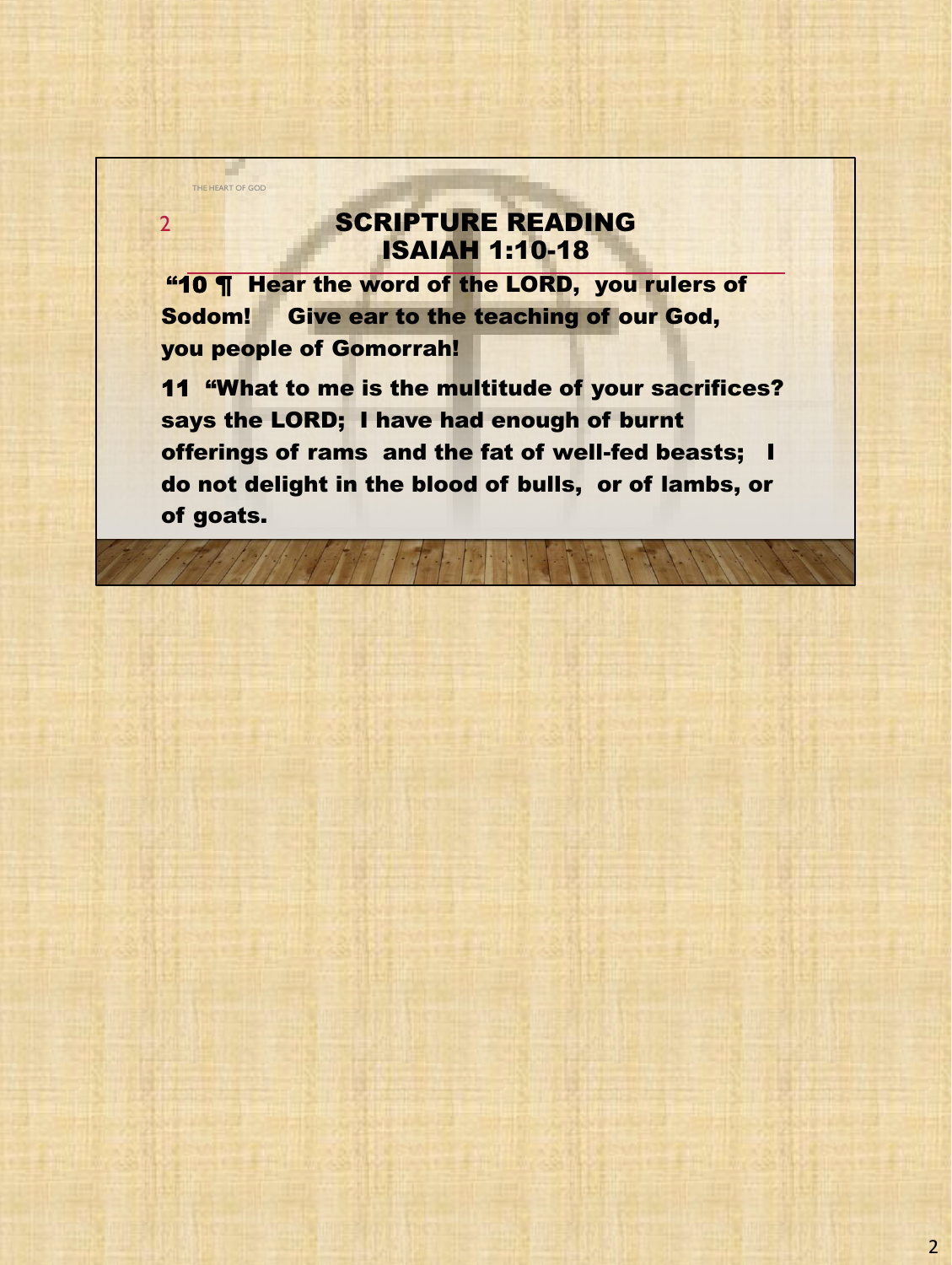## SCRIPTURE READING ISAIAH 1:10-18

"10 **T** Hear the word of the LORD, you rulers of Sodom! Give ear to the teaching of our God, you people of Gomorrah!

THE HEART OF GOD

2

11 "What to me is the multitude of your sacrifices? says the LORD; I have had enough of burnt offerings of rams and the fat of well-fed beasts; I do not delight in the blood of bulls, or of lambs, or of goats.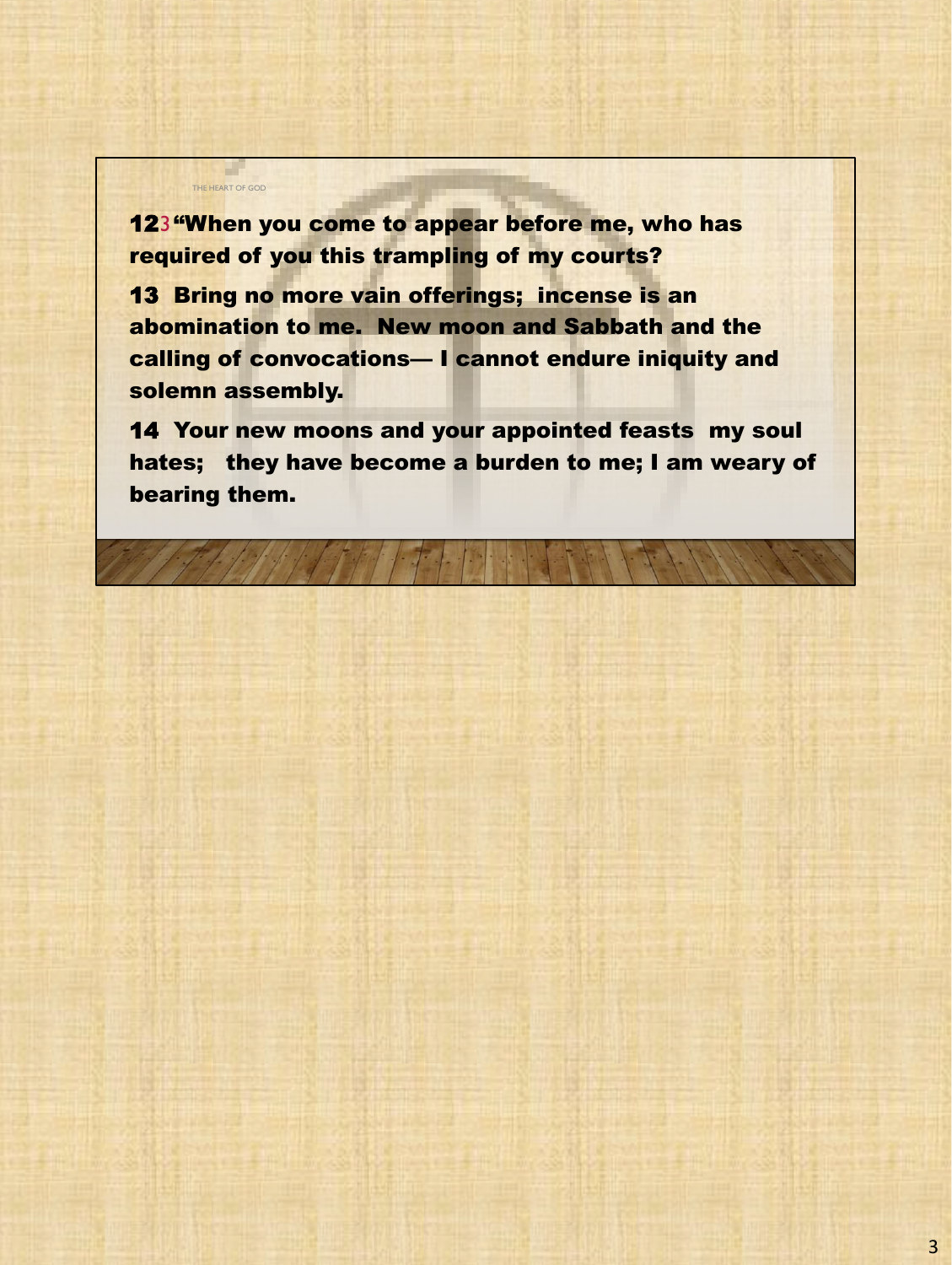**123 "When you come to appear before me, who has** required of you this trampling of my courts?

THE HEART OF GOD

13 Bring no more vain offerings; incense is an abomination to me. New moon and Sabbath and the calling of convocations— I cannot endure iniquity and solemn assembly.

14 Your new moons and your appointed feasts my soul hates; they have become a burden to me; I am weary of bearing them.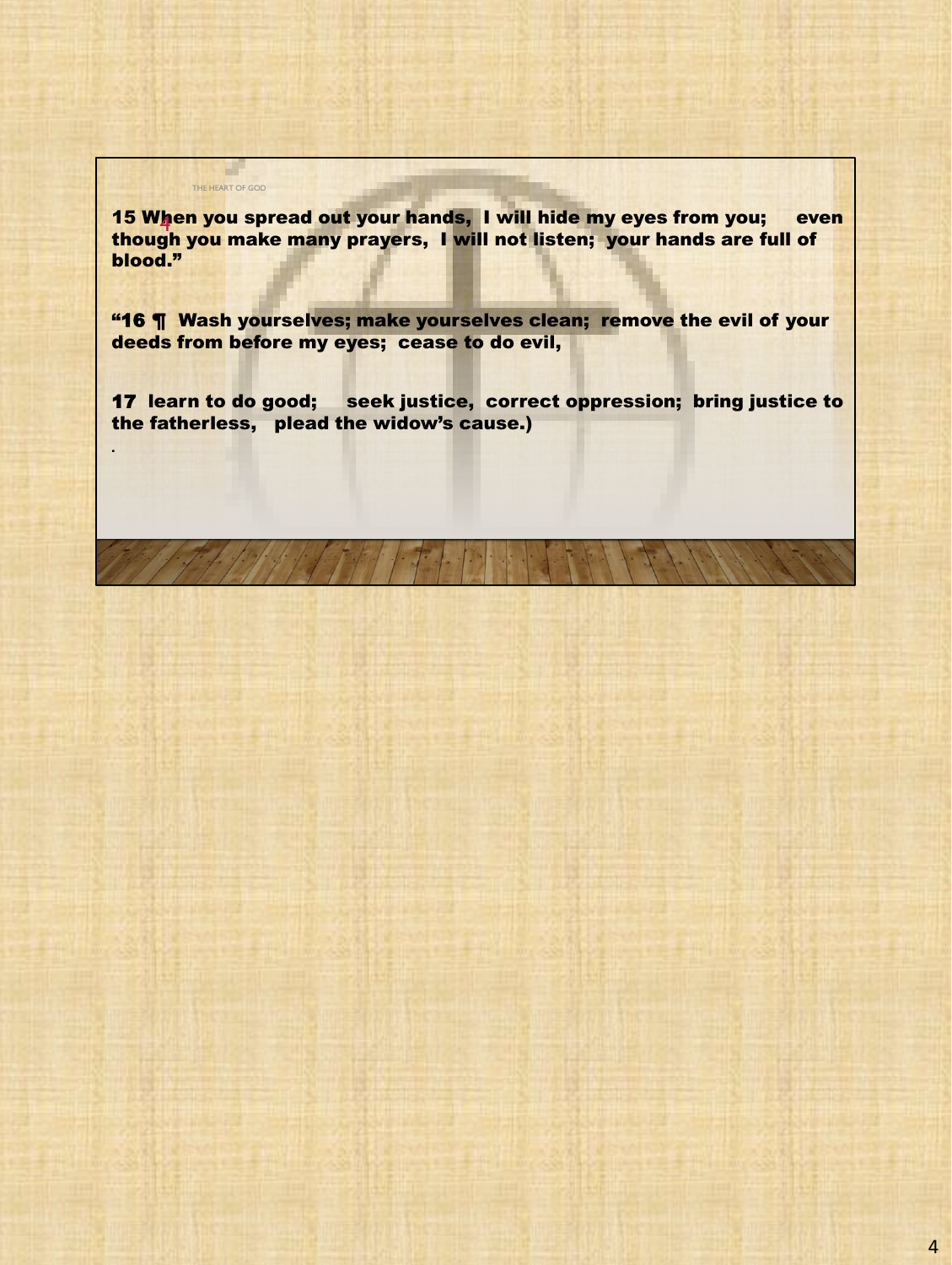15 When you spread out your hands, I will hide my eyes from you; even 4 though you make many prayers, I will not listen; your hands are full of blood."

"16 **¶** Wash yourselves; make yourselves clean; remove the evil of your deeds from before my eyes; cease to do evil,

17 learn to do good; seek justice, correct oppression; bring justice to the fatherless, plead the widow's cause.)

.

THE HEART OF GOD

a ka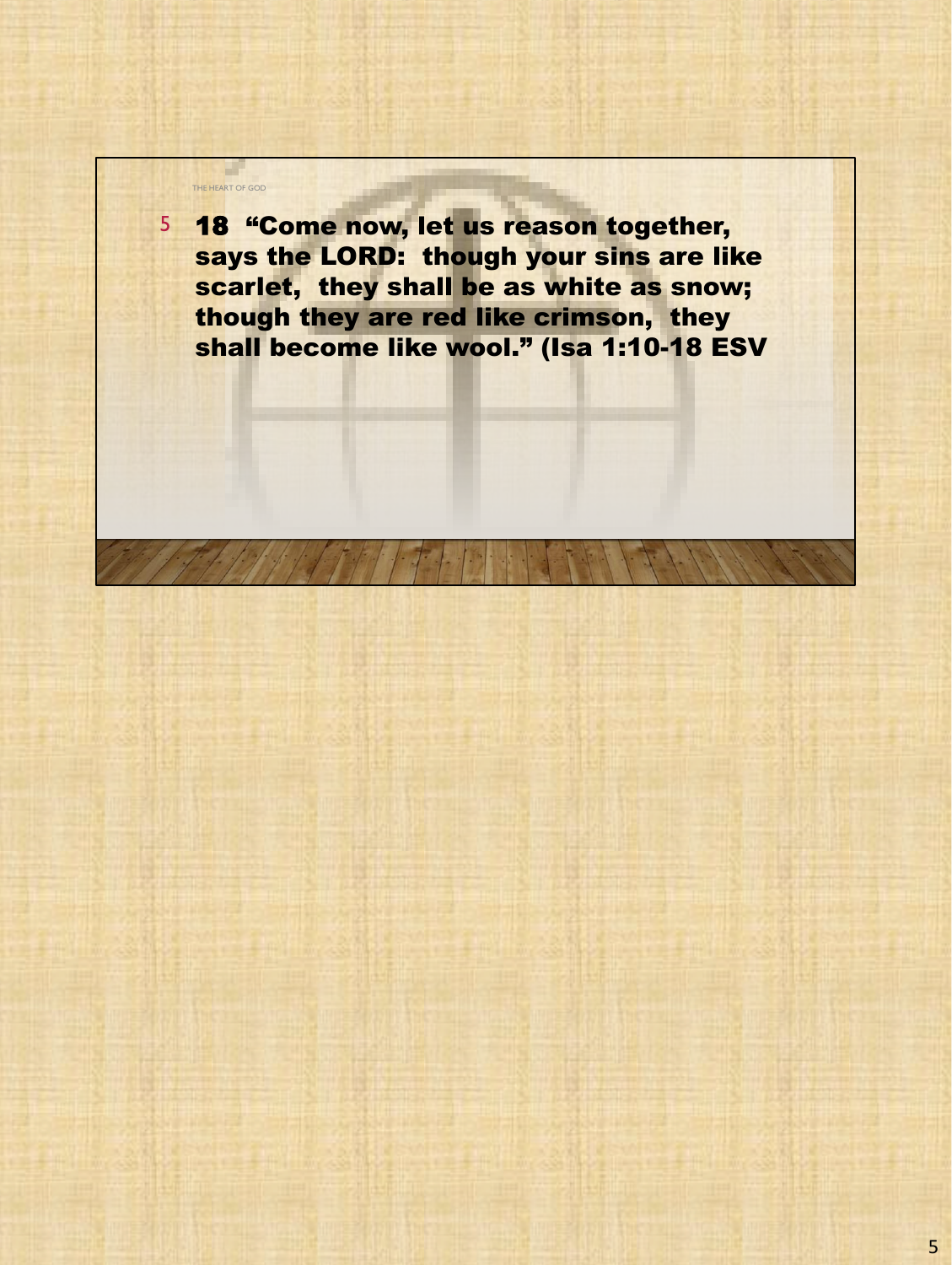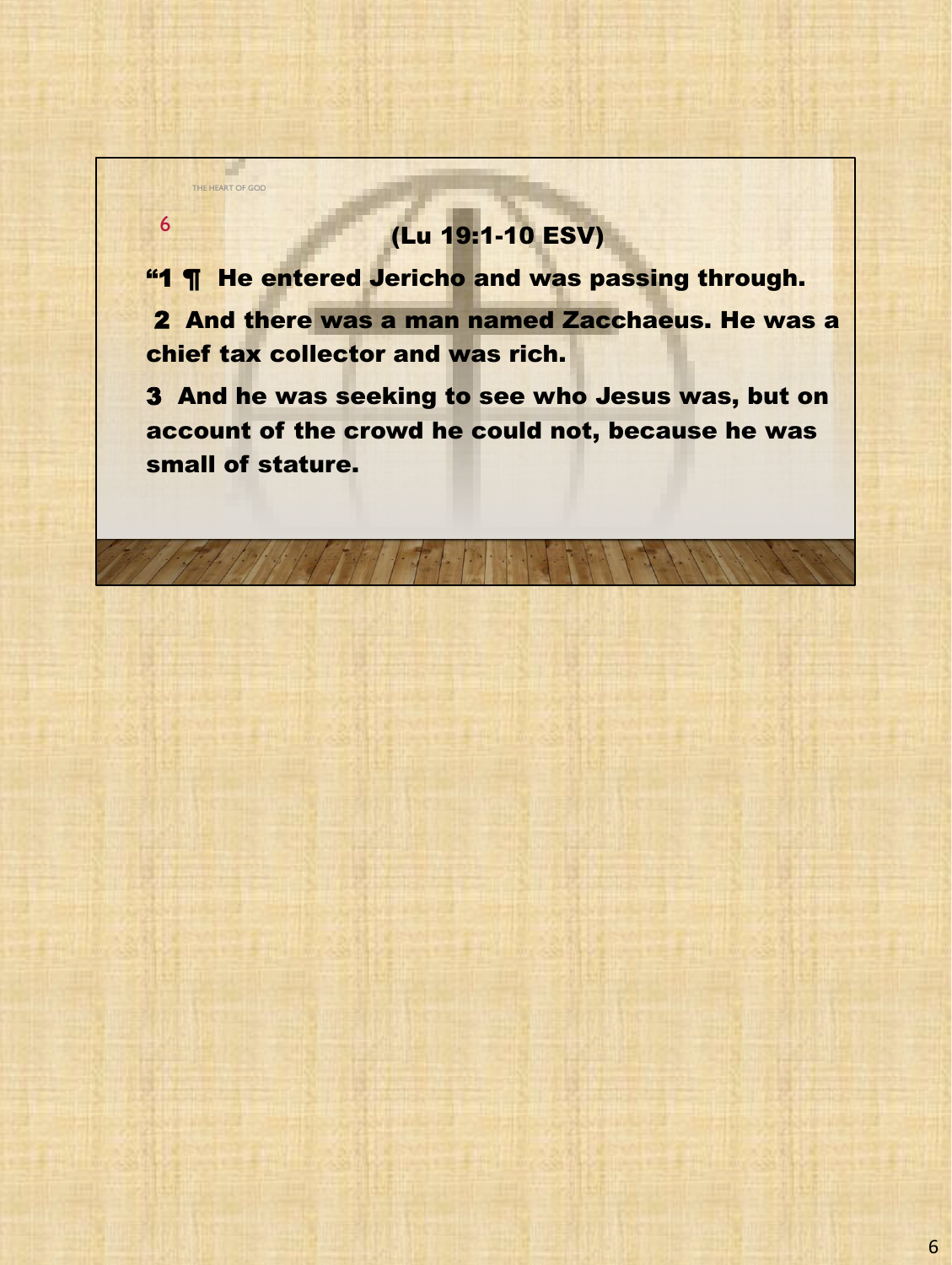## (Lu 19:1-10 ESV)

THE HEART OF GOD

6

"1 ¶ He entered Jericho and was passing through. 2 And there was a man named Zacchaeus. He was a chief tax collector and was rich.

3 And he was seeking to see who Jesus was, but on account of the crowd he could not, because he was small of stature.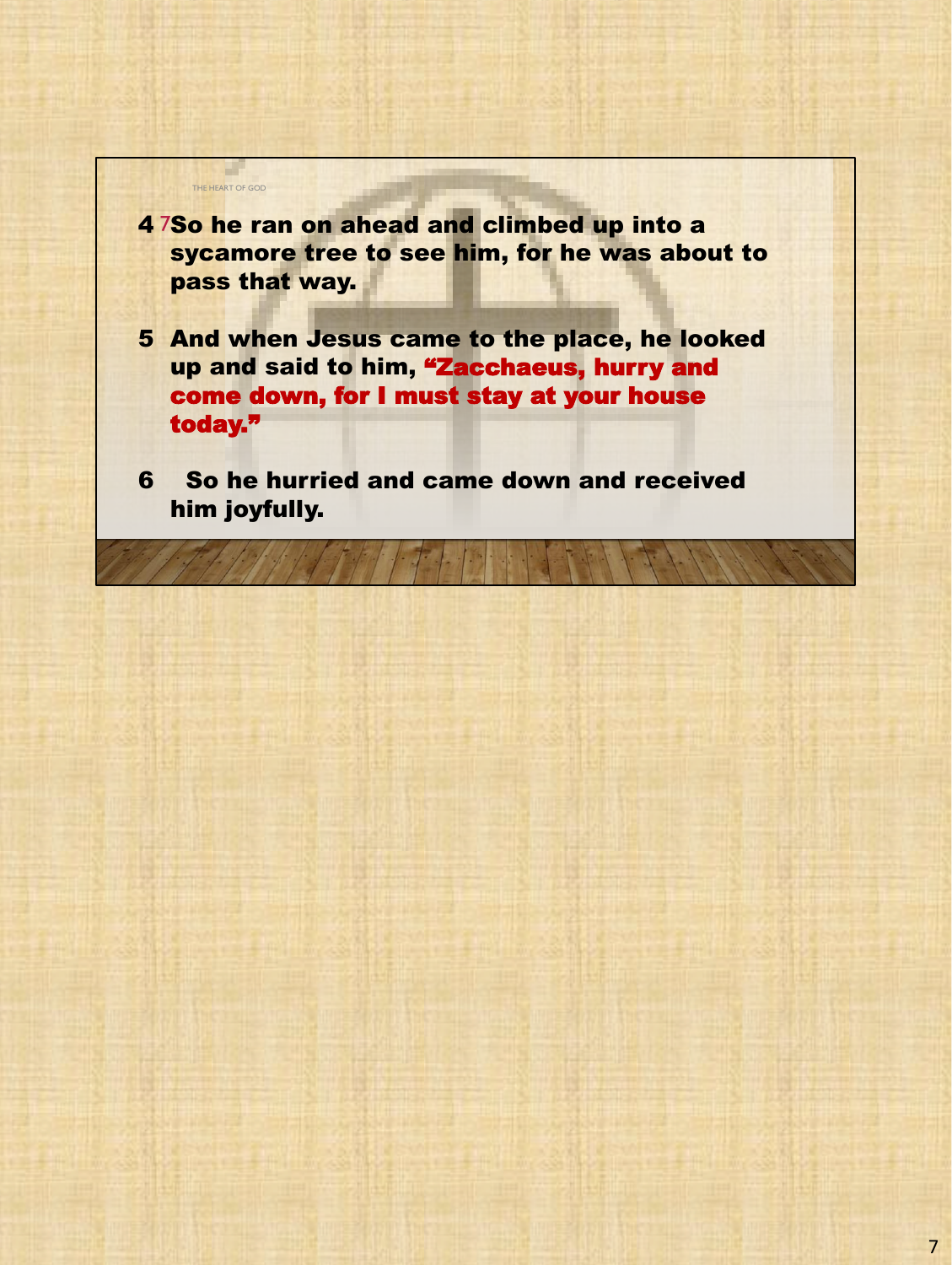

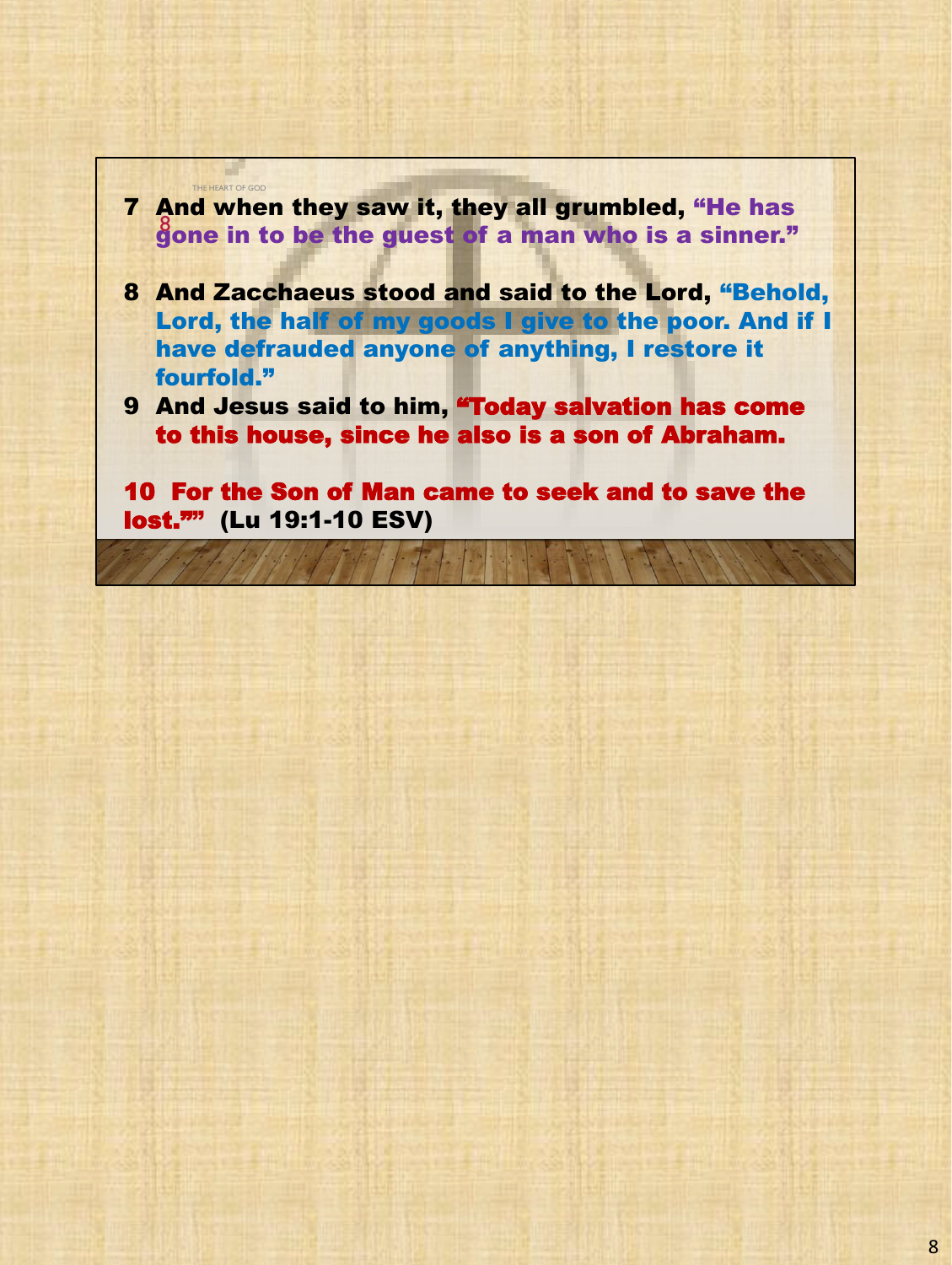

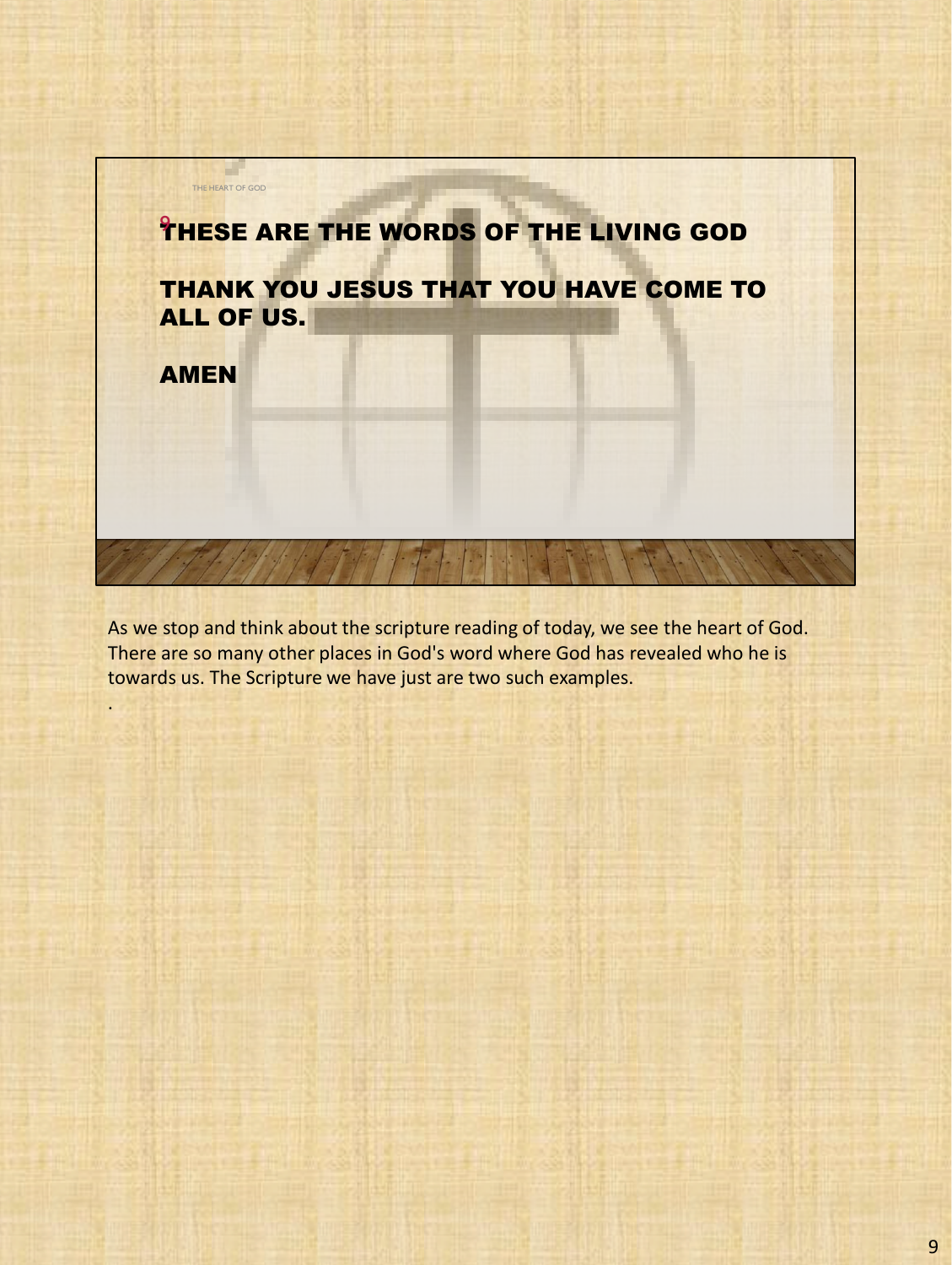

As we stop and think about the scripture reading of today, we see the heart of God. There are so many other places in God's word where God has revealed who he is towards us. The Scripture we have just are two such examples.

.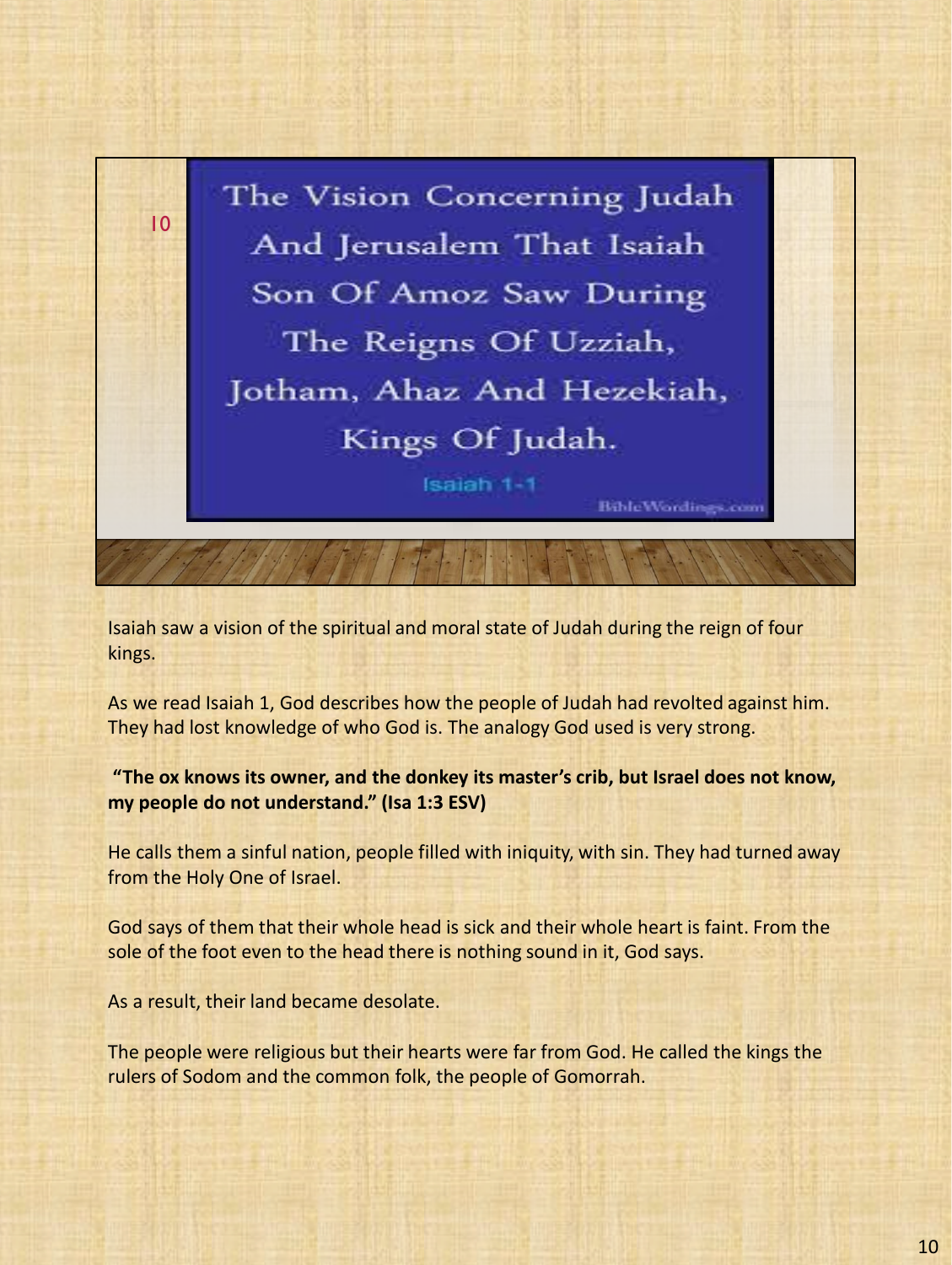

Isaiah saw a vision of the spiritual and moral state of Judah during the reign of four kings.

As we read Isaiah 1, God describes how the people of Judah had revolted against him. They had lost knowledge of who God is. The analogy God used is very strong.

**"The ox knows its owner, and the donkey its master's crib, but Israel does not know, my people do not understand." (Isa 1:3 ESV)**

He calls them a sinful nation, people filled with iniquity, with sin. They had turned away from the Holy One of Israel.

God says of them that their whole head is sick and their whole heart is faint. From the sole of the foot even to the head there is nothing sound in it, God says.

As a result, their land became desolate.

The people were religious but their hearts were far from God. He called the kings the rulers of Sodom and the common folk, the people of Gomorrah.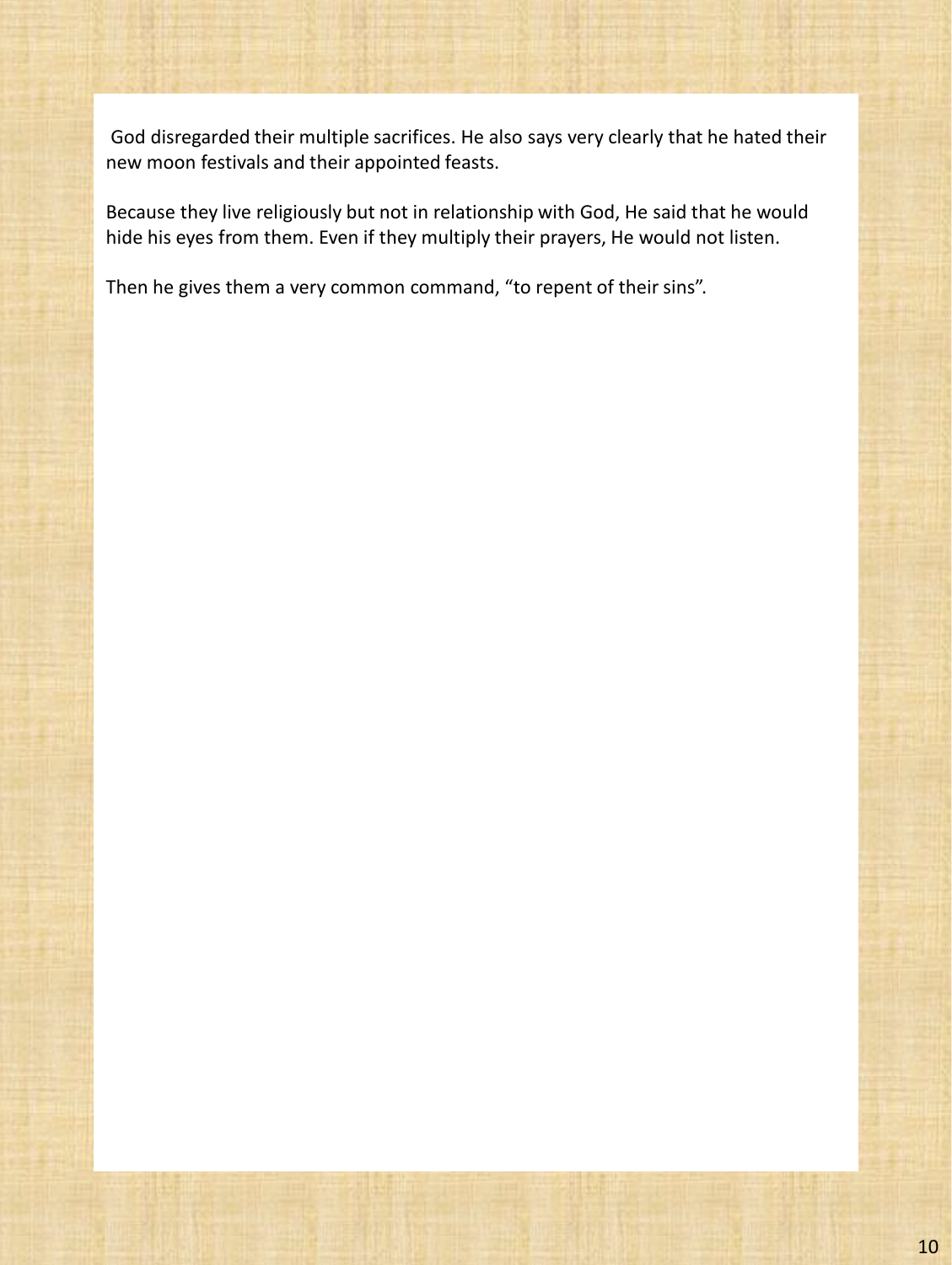God disregarded their multiple sacrifices. He also says very clearly that he hated their new moon festivals and their appointed feasts.

Because they live religiously but not in relationship with God, He said that he would hide his eyes from them. Even if they multiply their prayers, He would not listen.

Then he gives them a very common command, "to repent of their sins".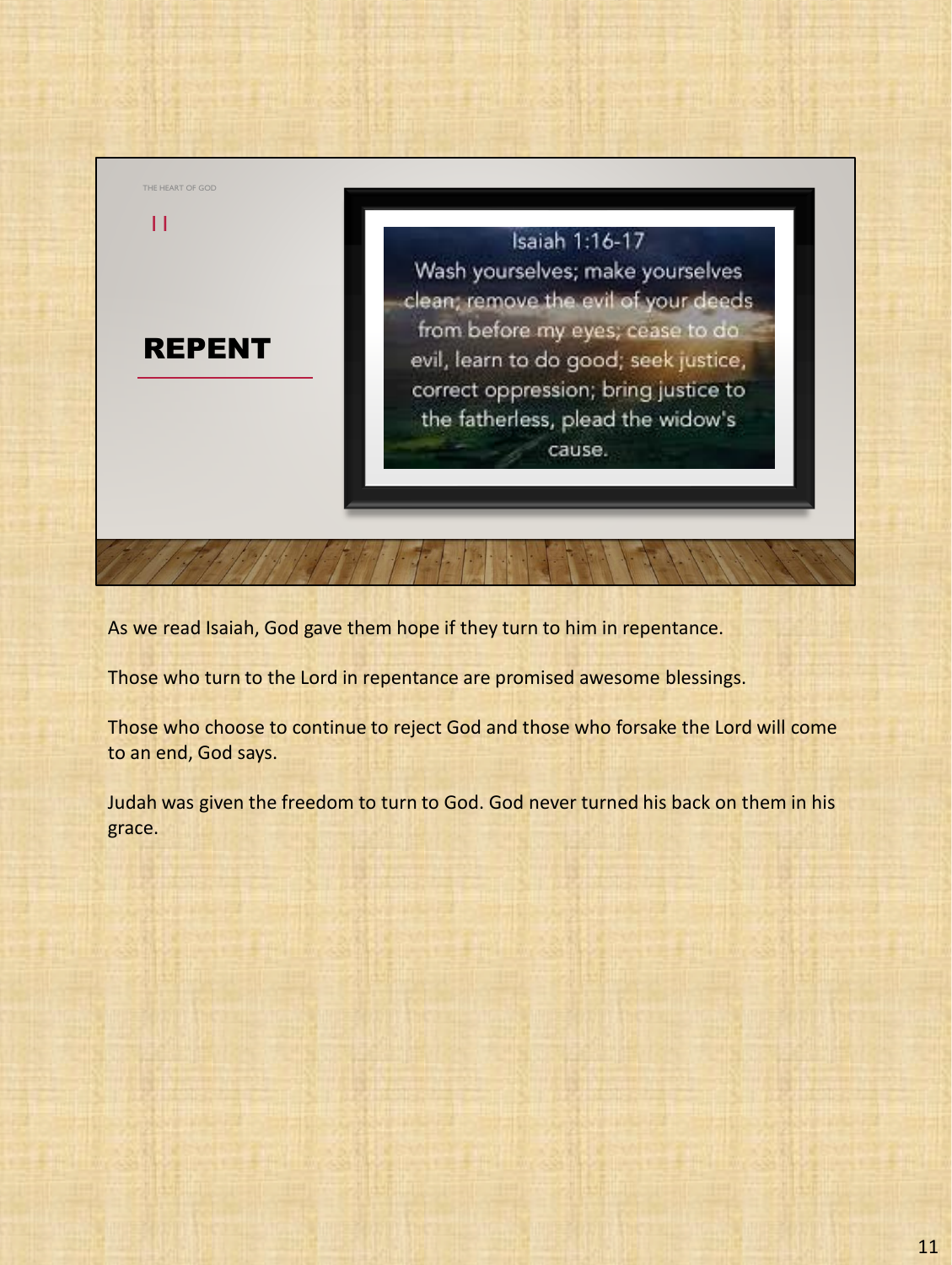

As we read Isaiah, God gave them hope if they turn to him in repentance.

Those who turn to the Lord in repentance are promised awesome blessings.

Those who choose to continue to reject God and those who forsake the Lord will come to an end, God says.

Judah was given the freedom to turn to God. God never turned his back on them in his grace.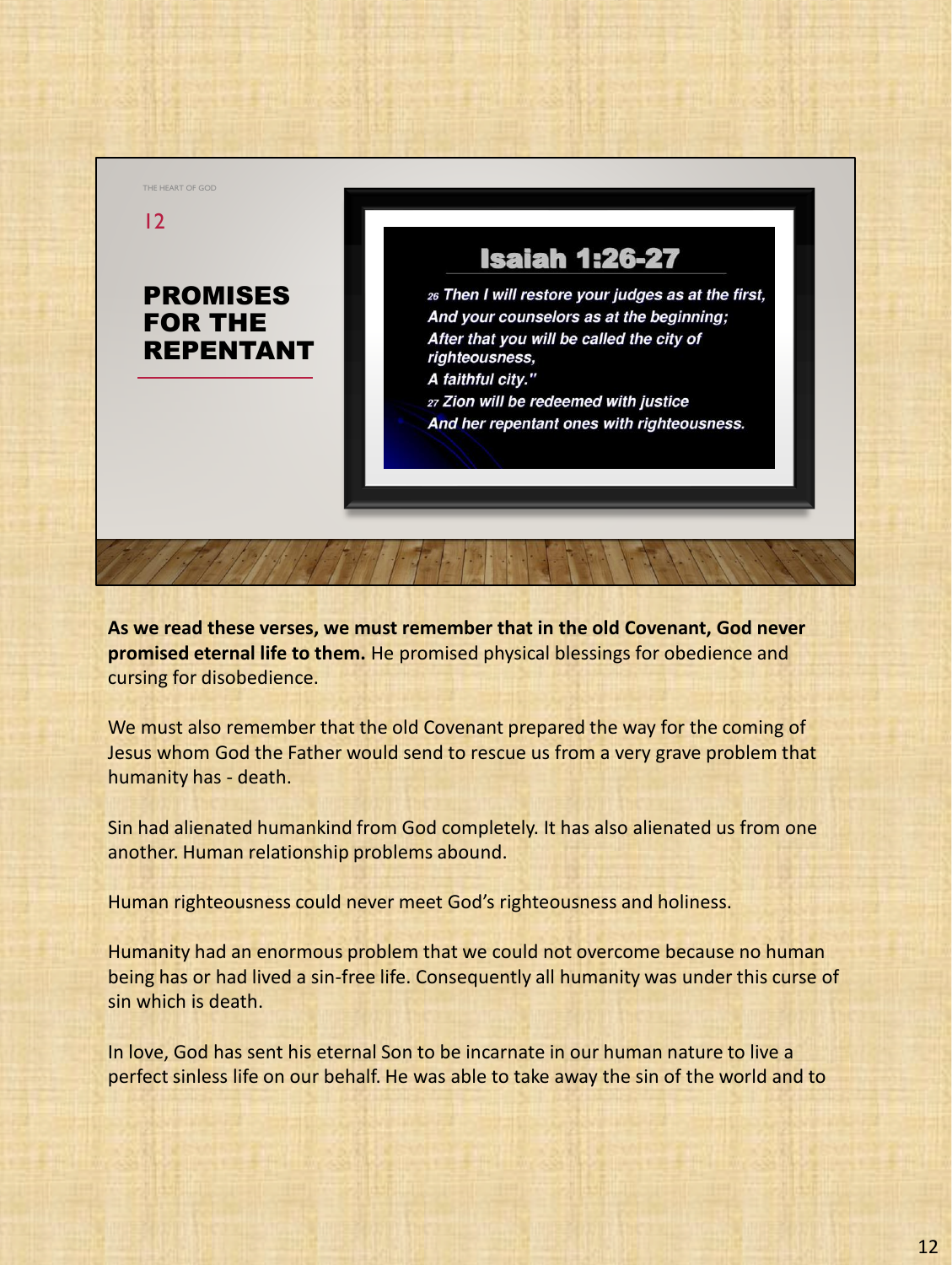

**As we read these verses, we must remember that in the old Covenant, God never promised eternal life to them.** He promised physical blessings for obedience and cursing for disobedience.

We must also remember that the old Covenant prepared the way for the coming of Jesus whom God the Father would send to rescue us from a very grave problem that humanity has - death.

Sin had alienated humankind from God completely. It has also alienated us from one another. Human relationship problems abound.

Human righteousness could never meet God's righteousness and holiness.

Humanity had an enormous problem that we could not overcome because no human being has or had lived a sin-free life. Consequently all humanity was under this curse of sin which is death.

In love, God has sent his eternal Son to be incarnate in our human nature to live a perfect sinless life on our behalf. He was able to take away the sin of the world and to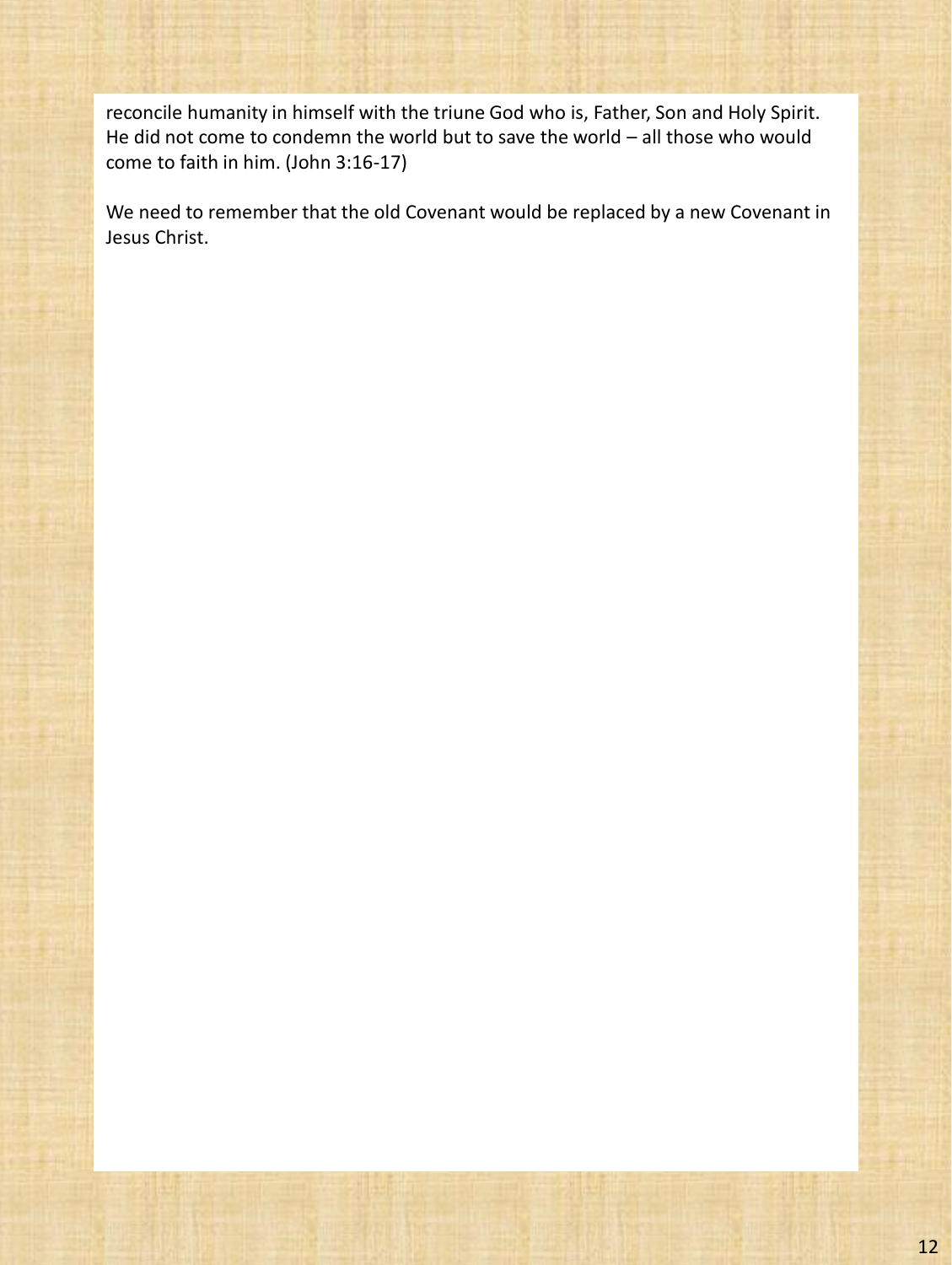reconcile humanity in himself with the triune God who is, Father, Son and Holy Spirit. He did not come to condemn the world but to save the world – all those who would come to faith in him. (John 3:16-17)

We need to remember that the old Covenant would be replaced by a new Covenant in Jesus Christ.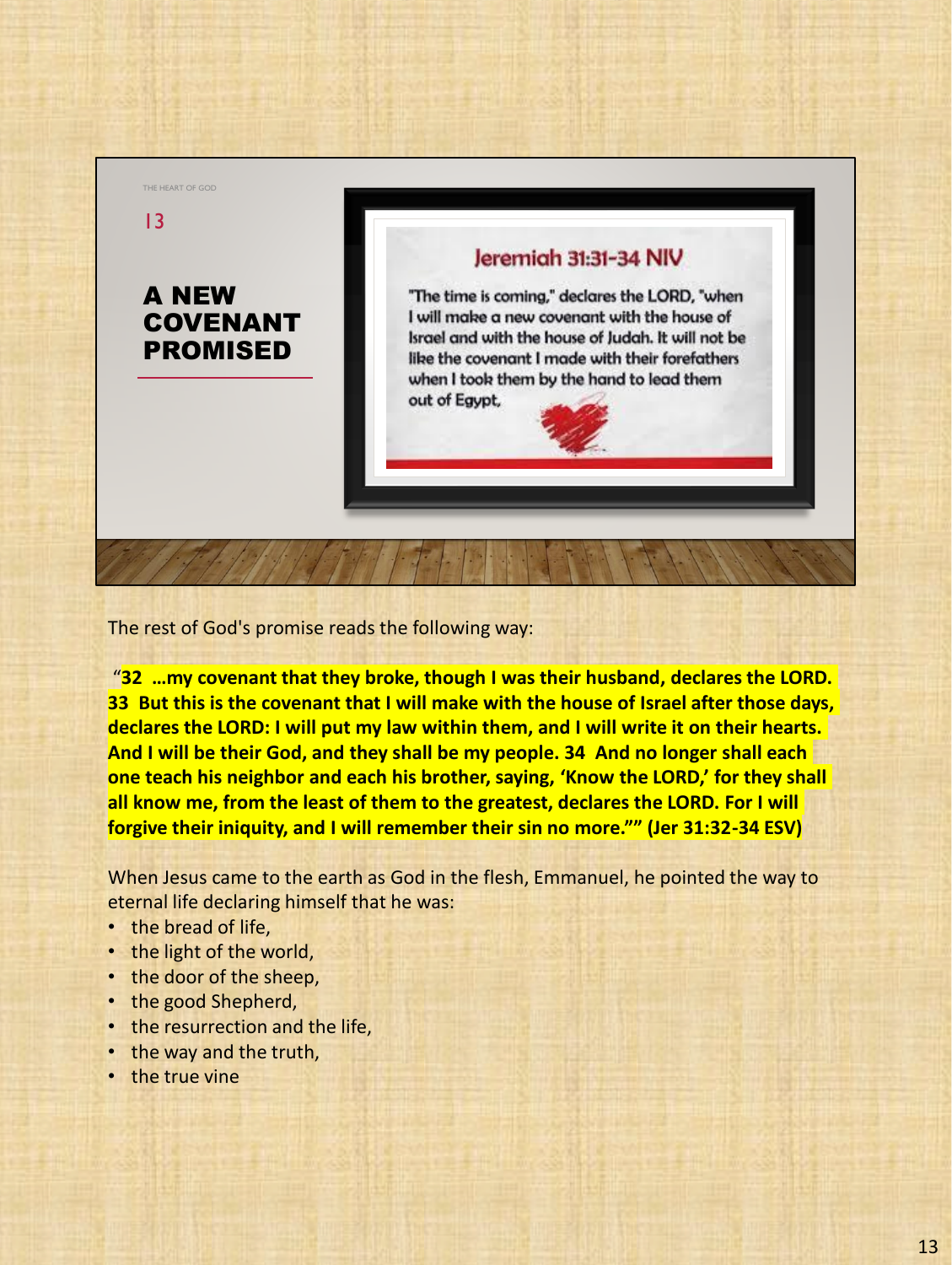

The rest of God's promise reads the following way:

"**32 …my covenant that they broke, though I was their husband, declares the LORD. 33 But this is the covenant that I will make with the house of Israel after those days, declares the LORD: I will put my law within them, and I will write it on their hearts. And I will be their God, and they shall be my people. 34 And no longer shall each one teach his neighbor and each his brother, saying, 'Know the LORD,' for they shall all know me, from the least of them to the greatest, declares the LORD. For I will forgive their iniquity, and I will remember their sin no more."" (Jer 31:32-34 ESV)**

When Jesus came to the earth as God in the flesh, Emmanuel, he pointed the way to eternal life declaring himself that he was:

- the bread of life,
- the light of the world,
- the door of the sheep,
- the good Shepherd,
- the resurrection and the life,
- the way and the truth,
- the true vine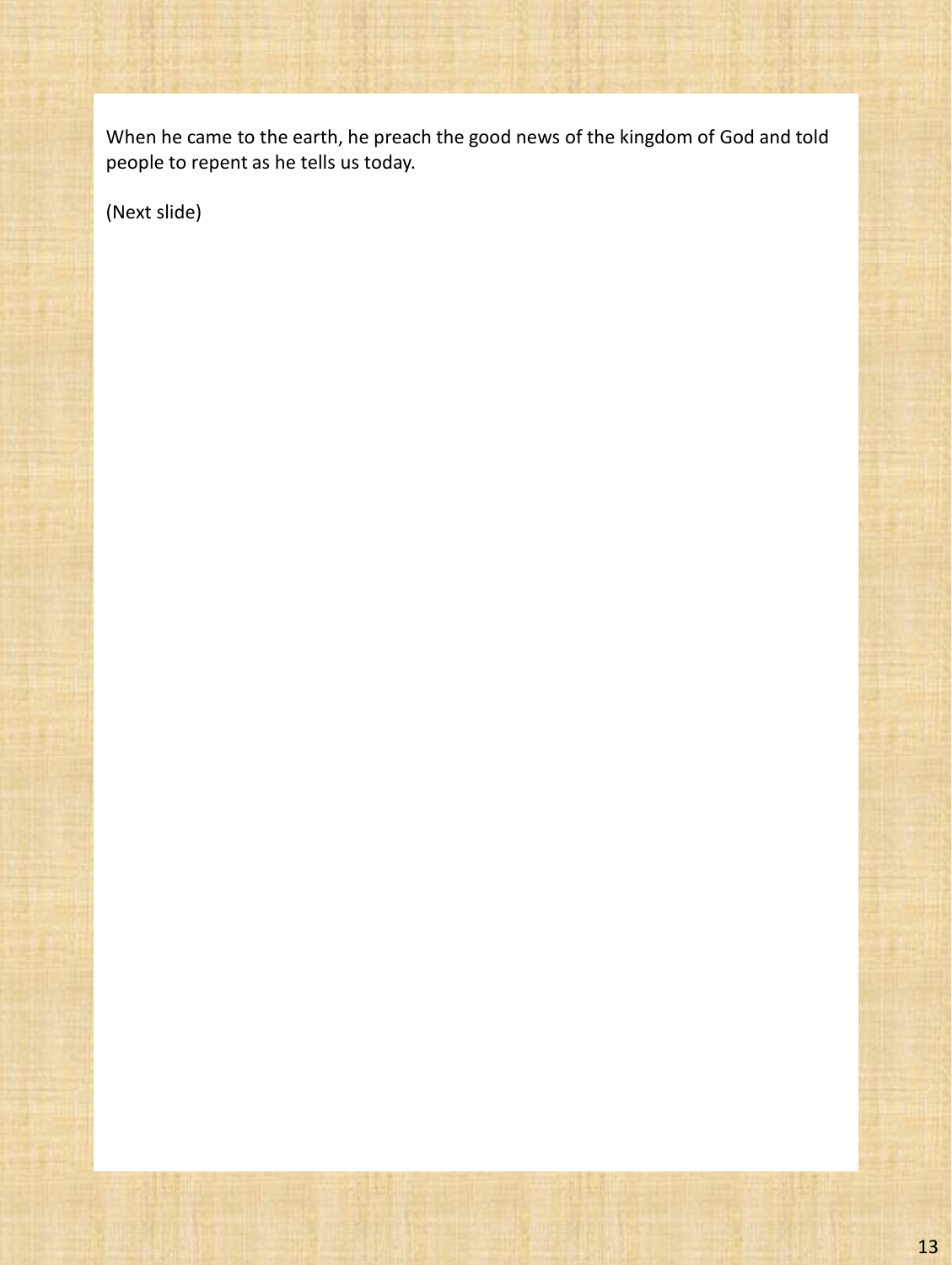When he came to the earth, he preach the good news of the kingdom of God and told people to repent as he tells us today.

(Next slide)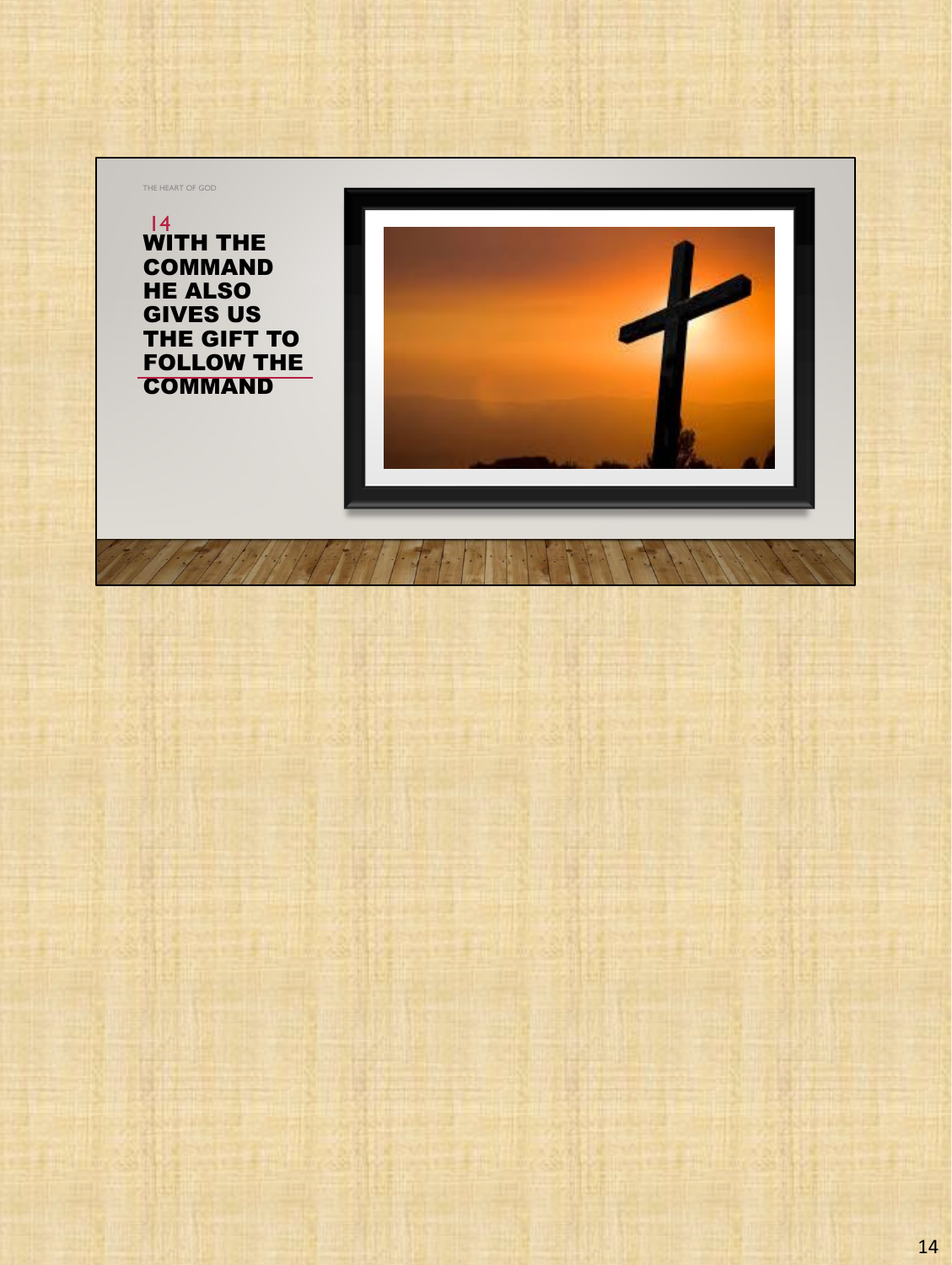THE HEART OF GOD

WITH THE COMMAND HE ALSO GIVES US THE GIFT TO FOLLOW THE **COMMAND** 14

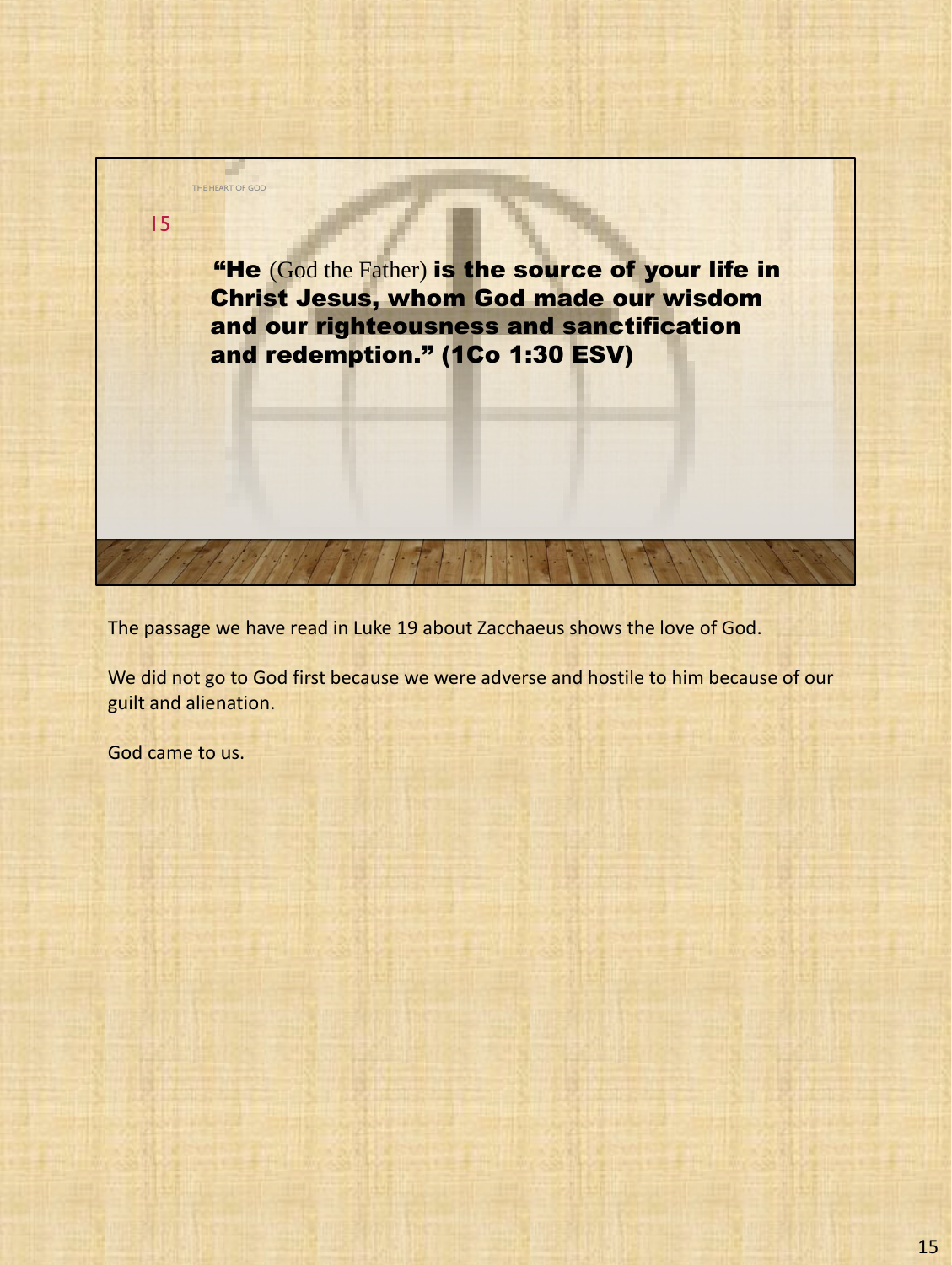

The passage we have read in Luke 19 about Zacchaeus shows the love of God.

We did not go to God first because we were adverse and hostile to him because of our guilt and alienation.

God came to us.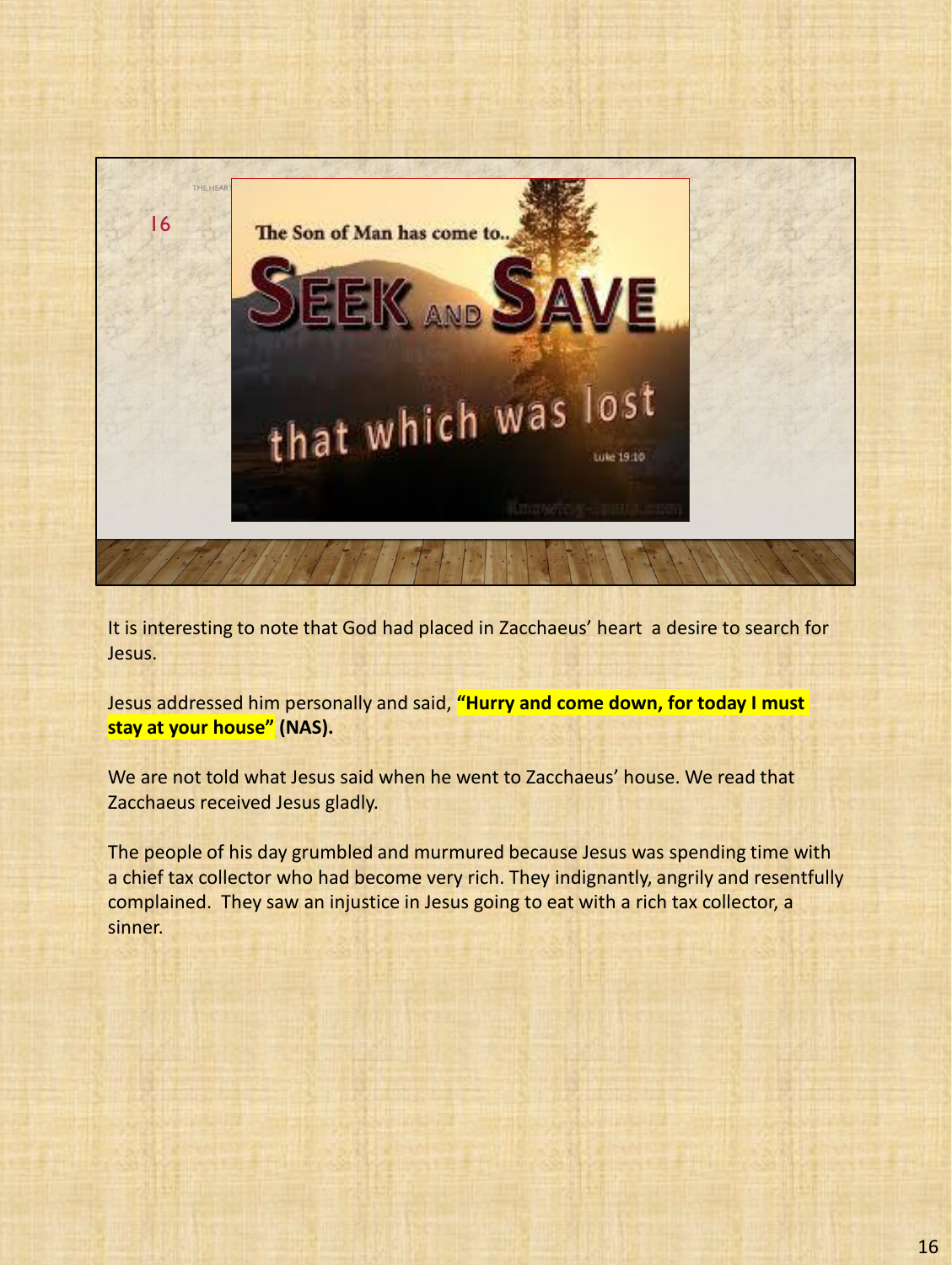

It is interesting to note that God had placed in Zacchaeus' heart a desire to search for Jesus.

Jesus addressed him personally and said, **"Hurry and come down, for today I must stay at your house" (NAS).**

We are not told what Jesus said when he went to Zacchaeus' house. We read that Zacchaeus received Jesus gladly.

The people of his day grumbled and murmured because Jesus was spending time with a chief tax collector who had become very rich. They indignantly, angrily and resentfully complained. They saw an injustice in Jesus going to eat with a rich tax collector, a sinner.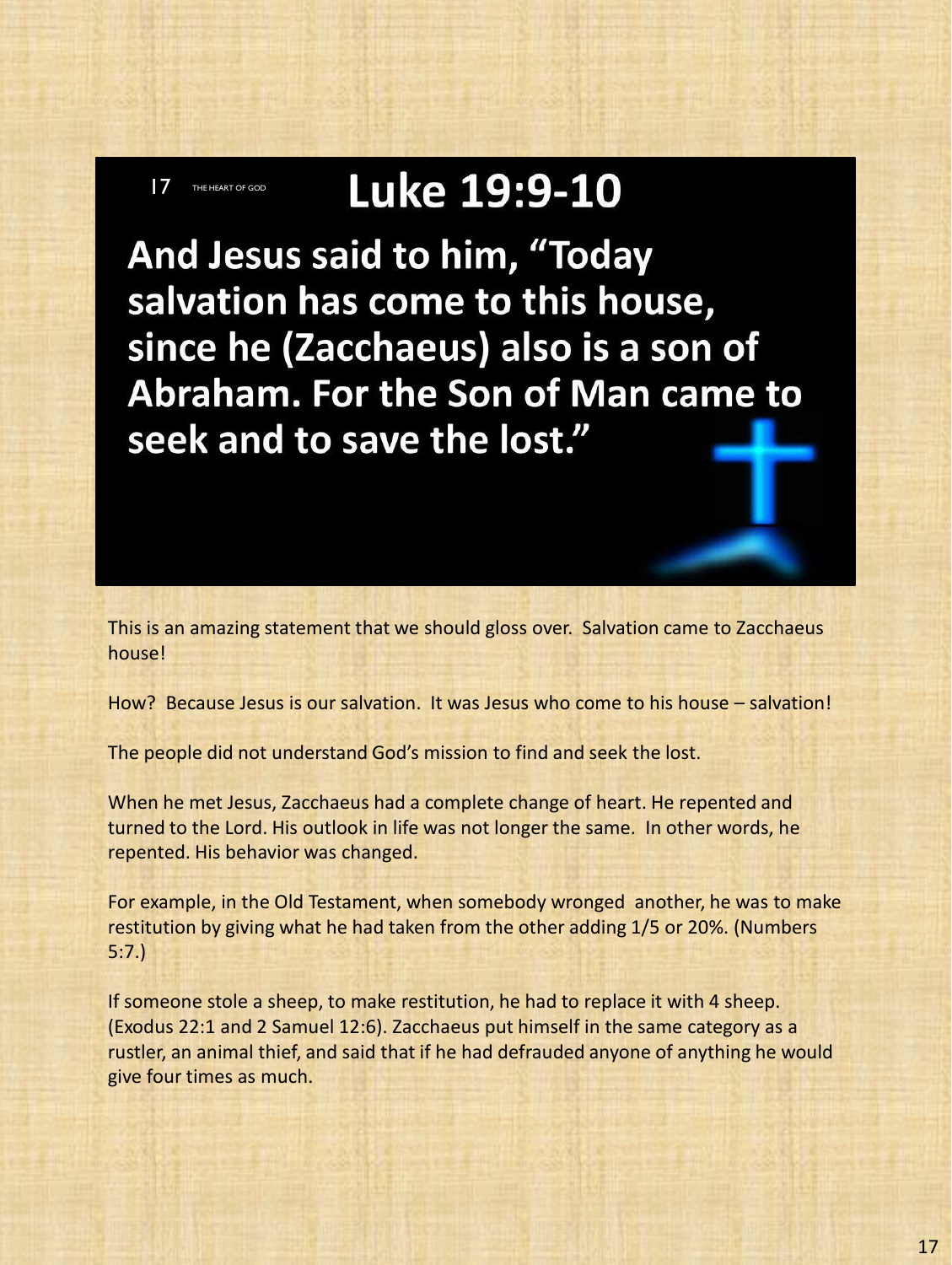## Luke 19:9-10

**7** THE HEART OF GOD

And Jesus said to him, "Today salvation has come to this house, since he (Zacchaeus) also is a son of Abraham. For the Son of Man came to seek and to save the lost."

This is an amazing statement that we should gloss over. Salvation came to Zacchaeus house!

How? Because Jesus is our salvation. It was Jesus who come to his house – salvation!

The people did not understand God's mission to find and seek the lost.

When he met Jesus, Zacchaeus had a complete change of heart. He repented and turned to the Lord. His outlook in life was not longer the same. In other words, he repented. His behavior was changed.

For example, in the Old Testament, when somebody wronged another, he was to make restitution by giving what he had taken from the other adding 1/5 or 20%. (Numbers 5:7.)

If someone stole a sheep, to make restitution, he had to replace it with 4 sheep. (Exodus 22:1 and 2 Samuel 12:6). Zacchaeus put himself in the same category as a rustler, an animal thief, and said that if he had defrauded anyone of anything he would give four times as much.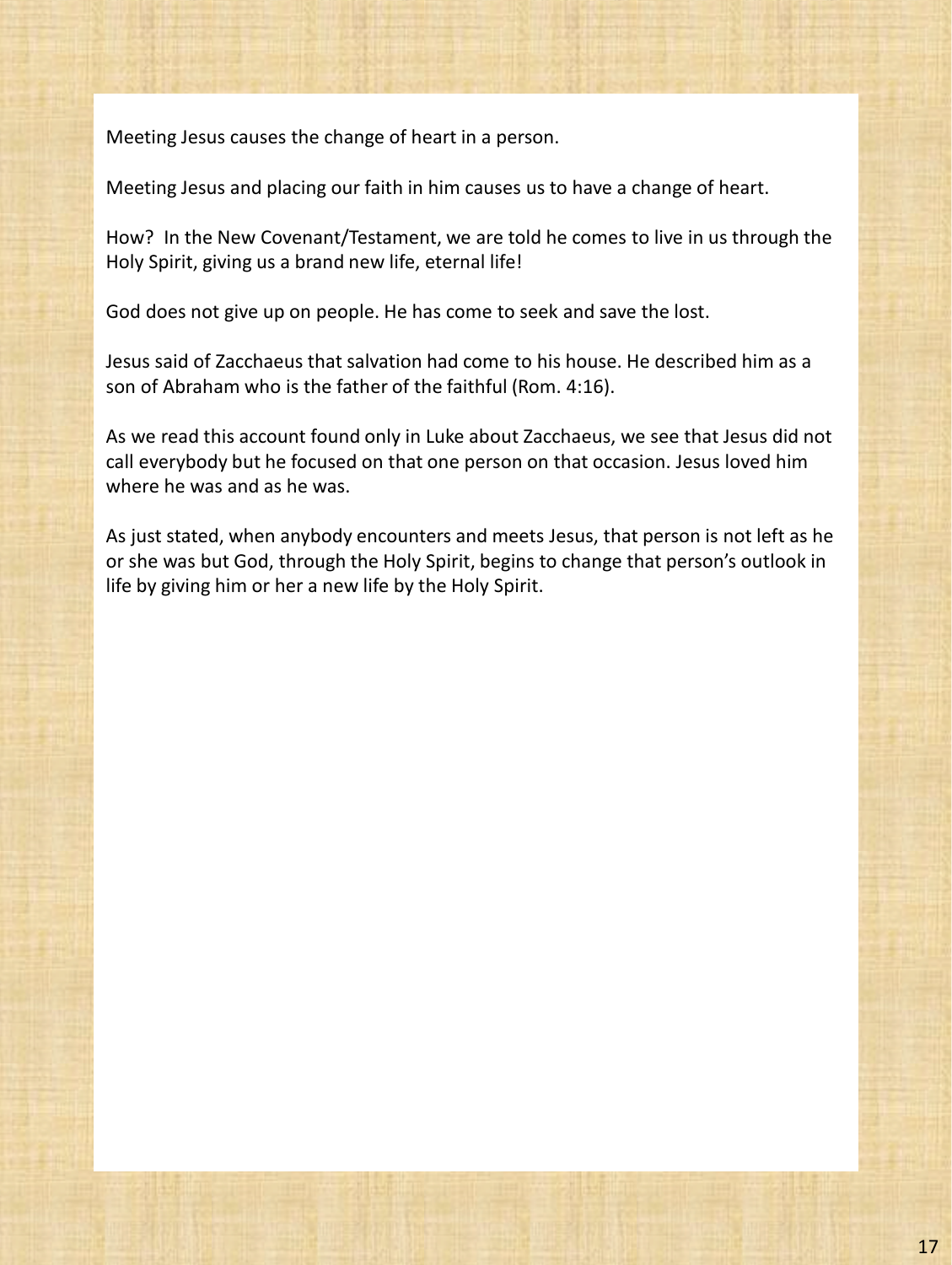Meeting Jesus causes the change of heart in a person.

Meeting Jesus and placing our faith in him causes us to have a change of heart.

How? In the New Covenant/Testament, we are told he comes to live in us through the Holy Spirit, giving us a brand new life, eternal life!

God does not give up on people. He has come to seek and save the lost.

Jesus said of Zacchaeus that salvation had come to his house. He described him as a son of Abraham who is the father of the faithful (Rom. 4:16).

As we read this account found only in Luke about Zacchaeus, we see that Jesus did not call everybody but he focused on that one person on that occasion. Jesus loved him where he was and as he was.

As just stated, when anybody encounters and meets Jesus, that person is not left as he or she was but God, through the Holy Spirit, begins to change that person's outlook in life by giving him or her a new life by the Holy Spirit.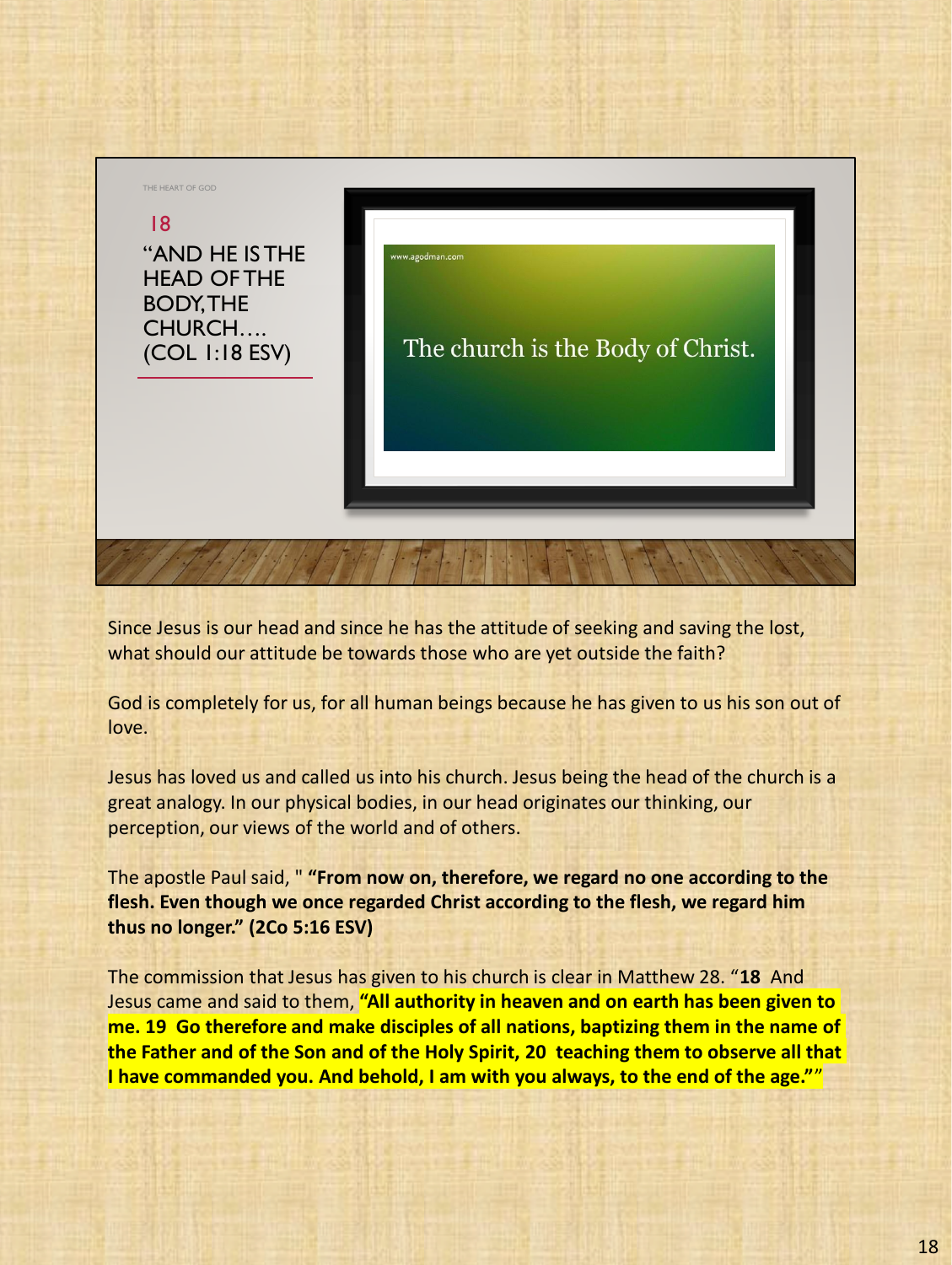

Since Jesus is our head and since he has the attitude of seeking and saving the lost, what should our attitude be towards those who are yet outside the faith?

God is completely for us, for all human beings because he has given to us his son out of love.

Jesus has loved us and called us into his church. Jesus being the head of the church is a great analogy. In our physical bodies, in our head originates our thinking, our perception, our views of the world and of others.

The apostle Paul said, " **"From now on, therefore, we regard no one according to the flesh. Even though we once regarded Christ according to the flesh, we regard him thus no longer." (2Co 5:16 ESV)**

The commission that Jesus has given to his church is clear in Matthew 28. "**18** And Jesus came and said to them, **"All authority in heaven and on earth has been given to me. 19 Go therefore and make disciples of all nations, baptizing them in the name of the Father and of the Son and of the Holy Spirit, 20 teaching them to observe all that I have commanded you. And behold, I am with you always, to the end of the age."**"